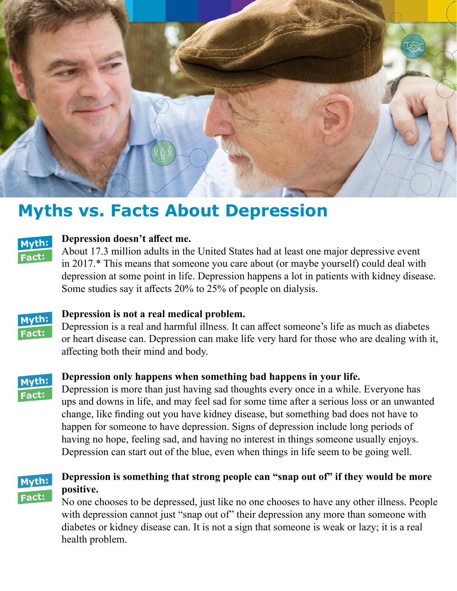

# **Myths vs. Facts About Depression**



### **Myth: Depression doesn't affect me.**

**Fact:** About 17.3 million adults in the United States had at least one major depressive event in 2017.\* This means that someone you care about (or maybe yourself) could deal with depression at some point in life. Depression happens a lot in patients with kidney disease. Some studies say it affects 20% to 25% of people on dialysis.



# **Myth: Depression is not a real medical problem.**

**Fact:** Depression is a real and harmful illness. It can affect someone's life as much as diabetes or heart disease can. Depression can make life very hard for those who are dealing with it, affecting both their mind and body.



## **Myth: Depression only happens when something bad happens in your life.**

Depression is more than just having sad thoughts every once in a while. Everyone has ups and downs in life, and may feel sad for some time after a serious loss or an unwanted change, like finding out you have kidney disease, but something bad does not have to happen for someone to have depression. Signs of depression include long periods of having no hope, feeling sad, and having no interest in things someone usually enjoys. Depression can start out of the blue, even when things in life seem to be going well.



# **Myth: Depression is something that strong people can "snap out of" if they would be more**

**Fact:** No one chooses to be depressed, just like no one chooses to have any other illness. People with depression cannot just "snap out of" their depression any more than someone with diabetes or kidney disease can. It is not a sign that someone is weak or lazy; it is a real health problem.